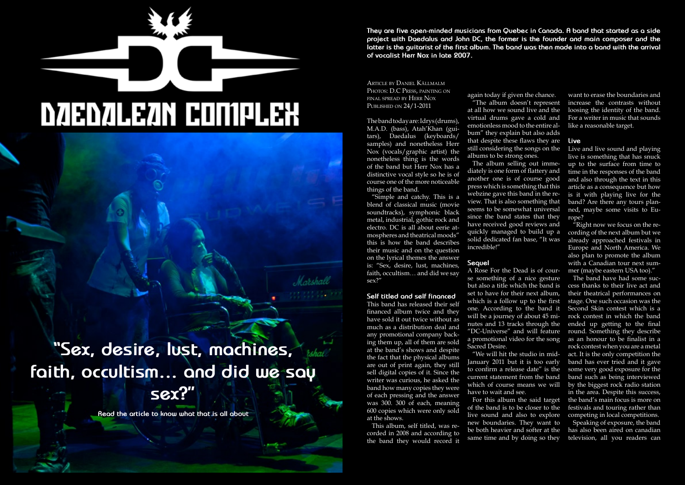Hallowed PDF-article Design by Daniel Källmalm **They are five open-minded musicians from Quebec in Canada. A band that started as a side project with Daedalus and John DC, the former is the founder and main composer and the latter is the guitarist of the first album. The band was then made into a band with the arrival of vocalist Herr Nox in late 2007.**

Article by Daniel Källmalm PHOTOS: D.C PRESS, PAINTING ON final spread by Herr Nox Published on 24/1-2011

The band today are: Idrys (drums), M.A.D. (bass), Atah'Khan (guitars), Daedalus (keyboards/ samples) and nonetheless Herr Nox (vocals/graphic artist) the nonetheless thing is the words of the band but Herr Nox has a distinctive vocal style so he is of course one of the more noticeable things of the band.

"Simple and catchy. This is a blend of classical music (movie soundtracks), symphonic black metal, industrial, gothic rock and electro. DC is all about eerie atmospheres and theatrical moods" this is how the band describes their music and on the question on the lyrical themes the answer is: "Sex, desire, lust, machines, faith, occultism… and did we say sex?"

## **Self titled and self financed**

This band has released their self financed album twice and they have sold it out twice without as much as a distribution deal and any promotional company backing them up, all of them are sold at the band's shows and despite the fact that the physical albums are out of print again, they still sell digital copies of it. Since the writer was curious, he asked the band how many copies they were of each pressing and the answer was 300. 300 of each, meaning 600 copies which were only sold at the shows.

This album, self titled, was recorded in 2008 and according to the band they would record it

again today if given the chance. "The album doesn't represent at all how we sound live and the virtual drums gave a cold and emotionless mood to the entire album" they explain but also adds that despite these flaws they are still considering the songs on the albums to be strong ones.

The album selling out immediately is one form of flattery and another one is of course good press which is something that this webzine gave this band in the review. That is also something that seems to be somewhat universal since the band states that they have received good reviews and quickly managed to build up a solid dedicated fan base, "It was incredible!"

# **Sequel**

A Rose For the Dead is of course something of a nice gesture but also a title which the band is set to have for their next album, which is a follow up to the first one. According to the band it will be a journey of about 45 minutes and 13 tracks through the "DC-Universe" and will feature a promotional video for the song Sacred Desire.

"We will hit the studio in mid-January 2011 but it is too early to confirm a release date" is the current statement from the band which of course means we will have to wait and see.

For this album the said target of the band is to be closer to the live sound and also to explore new boundaries. They want to be both heavier and softer at the same time and by doing so they

want to erase the boundaries and increase the contrasts without loosing the identity of the band. For a writer in music that sounds like a reasonable target.

# **Live**

Live and live sound and playing live is something that has snuck up to the surface from time to time in the responses of the band and also through the text in this article as a consequence but how is it with playing live for the band? Are there any tours planned, maybe some visits to Europe?

"Right now we focus on the recording of the next album but we already approached festivals in Europe and North America. We also plan to promote the album with a Canadian tour next summer (maybe eastern USA too)."

The band have had some success thanks to their live act and their theatrical performances on stage. One such occasion was the Second Skin contest which is a rock contest in which the band ended up getting to the final round. Something they describe as an honour to be finalist in a rock contest when you are a metal act. It is the only competition the band has ever tried and it gave some very good exposure for the band such as being interviewed by the biggest rock radio station in the area. Despite this success, the band's main focus is more on festivals and touring rather than competing in local competitions.

Speaking of exposure, the band has also been aired on canadian television, all you readers can

# **DZIEDZILEZIN CONÍPLEX**

**"Sex, desire, lust, machines, faith, occultism… and did we say sex?"**

**Read the article to know what that is all about**